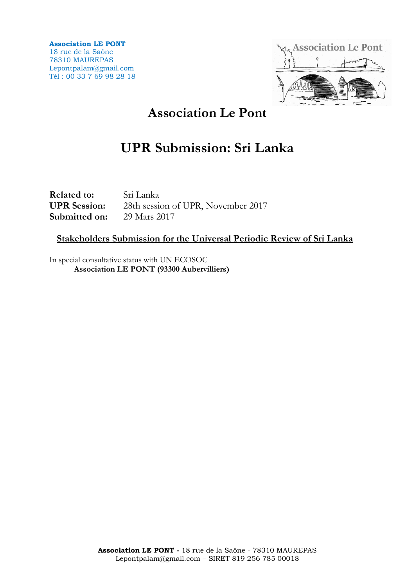**Association LE PONT** 18 rue de la Saône 78310 MAUREPAS Lepontpalam@gmail.com Tél : 00 33 7 69 98 28 18



# **Association Le Pont**

# **UPR Submission: Sri Lanka**

**Related to:** Sri Lanka **UPR Session:** 28th session of UPR, November 2017 **Submitted on:** 29 Mars 2017

### **Stakeholders Submission for the Universal Periodic Review of Sri Lanka**

In special consultative status with UN ECOSOC **Association LE PONT (93300 Aubervilliers)**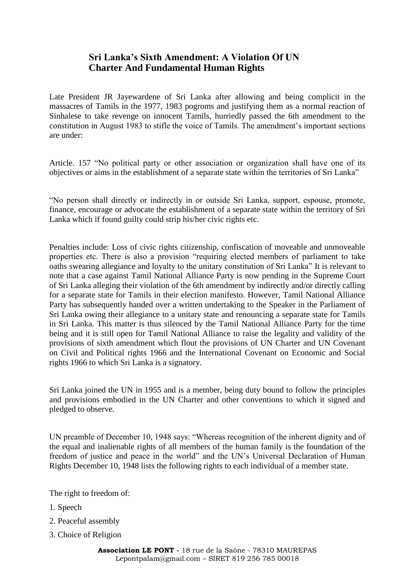### **Sri Lanka's Sixth Amendment: A Violation Of UN Charter And Fundamental Human Rights**

Late President JR Jayewardene of Sri Lanka after allowing and being complicit in the massacres of Tamils in the 1977, 1983 pogroms and justifying them as a normal reaction of Sinhalese to take revenge on innocent Tamils, hurriedly passed the 6th amendment to the constitution in August 1983 to stifle the voice of Tamils. The amendment's important sections are under:

Article. 157 "No political party or other association or organization shall have one of its objectives or aims in the establishment of a separate state within the territories of Sri Lanka"

"No person shall directly or indirectly in or outside Sri Lanka, support, espouse, promote, finance, encourage or advocate the establishment of a separate state within the territory of Sri Lanka which if found guilty could strip his/her civic rights etc.

Penalties include: Loss of civic rights citizenship, confiscation of moveable and unmoveable properties etc. There is also a provision "requiring elected members of parliament to take oaths swearing allegiance and loyalty to the unitary constitution of Sri Lanka" It is relevant to note that a case against Tamil National Alliance Party is now pending in the Supreme Court of Sri Lanka alleging their violation of the 6th amendment by indirectly and/or directly calling for a separate state for Tamils in their election manifesto. However, Tamil National Alliance Party has subsequently handed over a written undertaking to the Speaker in the Parliament of Sri Lanka owing their allegiance to a unitary state and renouncing a separate state for Tamils in Sri Lanka. This matter is thus silenced by the Tamil National Alliance Party for the time being and it is still open for Tamil National Alliance to raise the legality and validity of the provisions of sixth amendment which flout the provisions of UN Charter and UN Covenant on Civil and Political rights 1966 and the International Covenant on Economic and Social rights 1966 to which Sri Lanka is a signatory.

Sri Lanka joined the UN in 1955 and is a member, being duty bound to follow the principles and provisions embodied in the UN Charter and other conventions to which it signed and pledged to observe.

UN preamble of December 10, 1948 says: "Whereas recognition of the inherent dignity and of the equal and inalienable rights of all members of the human family is the foundation of the freedom of justice and peace in the world" and the UN's Universal Declaration of Human Rights December 10, 1948 lists the following rights to each individual of a member state.

The right to freedom of:

- 1. Speech
- 2. Peaceful assembly
- 3. Choice of Religion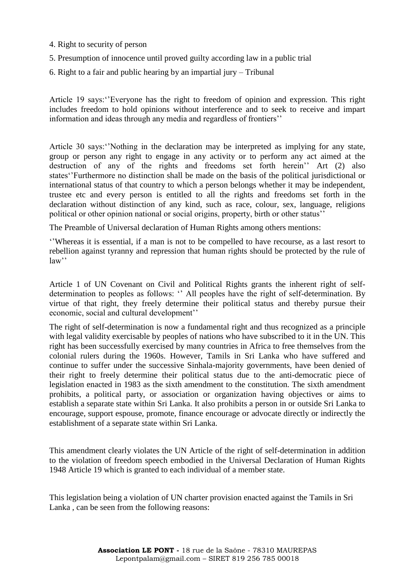- 4. Right to security of person
- 5. Presumption of innocence until proved guilty according law in a public trial
- 6. Right to a fair and public hearing by an impartial jury Tribunal

Article 19 says:''Everyone has the right to freedom of opinion and expression. This right includes freedom to hold opinions without interference and to seek to receive and impart information and ideas through any media and regardless of frontiers''

Article 30 says:''Nothing in the declaration may be interpreted as implying for any state, group or person any right to engage in any activity or to perform any act aimed at the destruction of any of the rights and freedoms set forth herein'' Art (2) also states''Furthermore no distinction shall be made on the basis of the political jurisdictional or international status of that country to which a person belongs whether it may be independent, trustee etc and every person is entitled to all the rights and freedoms set forth in the declaration without distinction of any kind, such as race, colour, sex, language, religions political or other opinion national or social origins, property, birth or other status''

The Preamble of Universal declaration of Human Rights among others mentions:

''Whereas it is essential, if a man is not to be compelled to have recourse, as a last resort to rebellion against tyranny and repression that human rights should be protected by the rule of law''

Article 1 of UN Covenant on Civil and Political Rights grants the inherent right of selfdetermination to peoples as follows: '' All peoples have the right of self-determination. By virtue of that right, they freely determine their political status and thereby pursue their economic, social and cultural development''

The right of self-determination is now a fundamental right and thus recognized as a principle with legal validity exercisable by peoples of nations who have subscribed to it in the UN. This right has been successfully exercised by many countries in Africa to free themselves from the colonial rulers during the 1960s. However, Tamils in Sri Lanka who have suffered and continue to suffer under the successive Sinhala-majority governments, have been denied of their right to freely determine their political status due to the anti-democratic piece of legislation enacted in 1983 as the sixth amendment to the constitution. The sixth amendment prohibits, a political party, or association or organization having objectives or aims to establish a separate state within Sri Lanka. It also prohibits a person in or outside Sri Lanka to encourage, support espouse, promote, finance encourage or advocate directly or indirectly the establishment of a separate state within Sri Lanka.

This amendment clearly violates the UN Article of the right of self-determination in addition to the violation of freedom speech embodied in the Universal Declaration of Human Rights 1948 Article 19 which is granted to each individual of a member state.

This legislation being a violation of UN charter provision enacted against the Tamils in Sri Lanka , can be seen from the following reasons: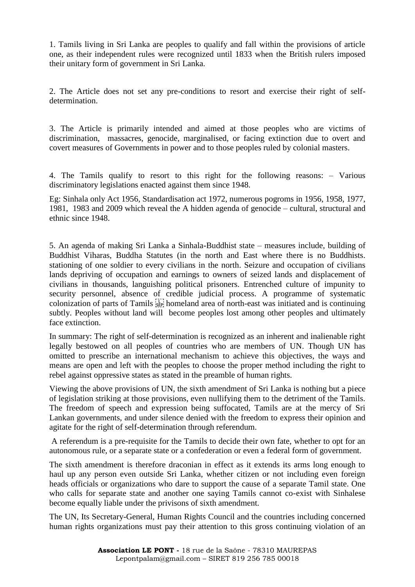1. Tamils living in Sri Lanka are peoples to qualify and fall within the provisions of article one, as their independent rules were recognized until 1833 when the British rulers imposed their unitary form of government in Sri Lanka.

2. The Article does not set any pre-conditions to resort and exercise their right of selfdetermination.

3. The Article is primarily intended and aimed at those peoples who are victims of discrimination, massacres, genocide, marginalised, or facing extinction due to overt and covert measures of Governments in power and to those peoples ruled by colonial masters.

4. The Tamils qualify to resort to this right for the following reasons: – Various discriminatory legislations enacted against them since 1948.

Eg: Sinhala only Act 1956, Standardisation act 1972, numerous pogroms in 1956, 1958, 1977, 1981, 1983 and 2009 which reveal the A hidden agenda of genocide – cultural, structural and ethnic since 1948.

5. An agenda of making Sri Lanka a Sinhala-Buddhist state – measures include, building of Buddhist Viharas, Buddha Statutes (in the north and East where there is no Buddhists. stationing of one soldier to every civilians in the north. Seizure and occupation of civilians lands depriving of occupation and earnings to owners of seized lands and displacement of civilians in thousands, languishing political prisoners. Entrenched culture of impunity to security personnel, absence of credible judicial process. A programme of systematic colonization of parts of Tamils  $\overline{s_{\text{EP}}}$  homeland area of north-east was initiated and is continuing subtly. Peoples without land will become peoples lost among other peoples and ultimately face extinction.

In summary: The right of self-determination is recognized as an inherent and inalienable right legally bestowed on all peoples of countries who are members of UN. Though UN has omitted to prescribe an international mechanism to achieve this objectives, the ways and means are open and left with the peoples to choose the proper method including the right to rebel against oppressive states as stated in the preamble of human rights.

Viewing the above provisions of UN, the sixth amendment of Sri Lanka is nothing but a piece of legislation striking at those provisions, even nullifying them to the detriment of the Tamils. The freedom of speech and expression being suffocated, Tamils are at the mercy of Sri Lankan governments, and under silence denied with the freedom to express their opinion and agitate for the right of self-determination through referendum.

A referendum is a pre-requisite for the Tamils to decide their own fate, whether to opt for an autonomous rule, or a separate state or a confederation or even a federal form of government.

The sixth amendment is therefore draconian in effect as it extends its arms long enough to haul up any person even outside Sri Lanka, whether citizen or not including even foreign heads officials or organizations who dare to support the cause of a separate Tamil state. One who calls for separate state and another one saying Tamils cannot co-exist with Sinhalese become equally liable under the privisons of sixth amendment.

The UN, Its Secretary-General, Human Rights Council and the countries including concerned human rights organizations must pay their attention to this gross continuing violation of an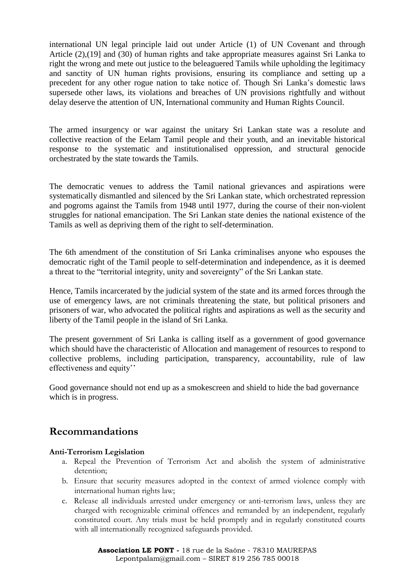international UN legal principle laid out under Article (1) of UN Covenant and through Article (2),(19] and (30) of human rights and take appropriate measures against Sri Lanka to right the wrong and mete out justice to the beleaguered Tamils while upholding the legitimacy and sanctity of UN human rights provisions, ensuring its compliance and setting up a precedent for any other rogue nation to take notice of. Though Sri Lanka's domestic laws supersede other laws, its violations and breaches of UN provisions rightfully and without delay deserve the attention of UN, International community and Human Rights Council.

The armed insurgency or war against the unitary Sri Lankan state was a resolute and collective reaction of the Eelam Tamil people and their youth, and an inevitable historical response to the systematic and institutionalised oppression, and structural genocide orchestrated by the state towards the Tamils.

The democratic venues to address the Tamil national grievances and aspirations were systematically dismantled and silenced by the Sri Lankan state, which orchestrated repression and pogroms against the Tamils from 1948 until 1977, during the course of their non-violent struggles for national emancipation. The Sri Lankan state denies the national existence of the Tamils as well as depriving them of the right to self-determination.

The 6th amendment of the constitution of Sri Lanka criminalises anyone who espouses the democratic right of the Tamil people to self-determination and independence, as it is deemed a threat to the "territorial integrity, unity and sovereignty" of the Sri Lankan state.

Hence, Tamils incarcerated by the judicial system of the state and its armed forces through the use of emergency laws, are not criminals threatening the state, but political prisoners and prisoners of war, who advocated the political rights and aspirations as well as the security and liberty of the Tamil people in the island of Sri Lanka.

The present government of Sri Lanka is calling itself as a government of good governance which should have the characteristic of Allocation and management of resources to respond to collective problems, including participation, transparency, accountability, rule of law effectiveness and equity''

Good governance should not end up as a smokescreen and shield to hide the bad governance which is in progress.

## **Recommandations**

#### **Anti-Terrorism Legislation**

- a. Repeal the Prevention of Terrorism Act and abolish the system of administrative detention;
- b. Ensure that security measures adopted in the context of armed violence comply with international human rights law;
- c. Release all individuals arrested under emergency or anti-terrorism laws, unless they are charged with recognizable criminal offences and remanded by an independent, regularly constituted court. Any trials must be held promptly and in regularly constituted courts with all internationally recognized safeguards provided.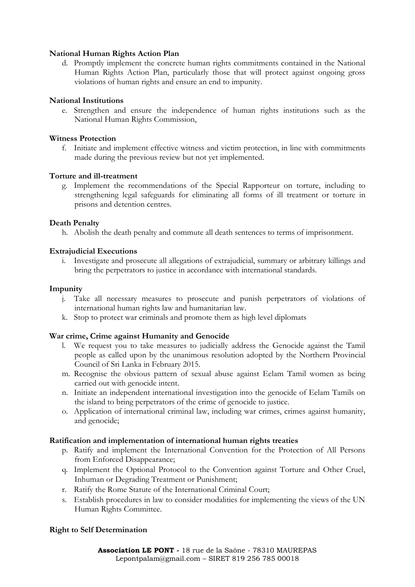#### **National Human Rights Action Plan**

d. Promptly implement the concrete human rights commitments contained in the National Human Rights Action Plan, particularly those that will protect against ongoing gross violations of human rights and ensure an end to impunity.

#### **National Institutions**

e. Strengthen and ensure the independence of human rights institutions such as the National Human Rights Commission,

#### **Witness Protection**

f. Initiate and implement effective witness and victim protection, in line with commitments made during the previous review but not yet implemented.

#### **Torture and ill-treatment**

g. Implement the recommendations of the Special Rapporteur on torture, including to strengthening legal safeguards for eliminating all forms of ill treatment or torture in prisons and detention centres.

#### **Death Penalty**

h. Abolish the death penalty and commute all death sentences to terms of imprisonment.

#### **Extrajudicial Executions**

i. Investigate and prosecute all allegations of extrajudicial, summary or arbitrary killings and bring the perpetrators to justice in accordance with international standards.

#### **Impunity**

- j. Take all necessary measures to prosecute and punish perpetrators of violations of international human rights law and humanitarian law.
- k. Stop to protect war criminals and promote them as high level diplomats

#### **War crime, Crime against Humanity and Genocide**

- l. We request you to take measures to judicially address the Genocide against the Tamil people as called upon by the unanimous resolution adopted by the Northern Provincial Council of Sri Lanka in February 2015.
- m. Recognise the obvious pattern of sexual abuse against Eelam Tamil women as being carried out with genocide intent.
- n. Initiate an independent international investigation into the genocide of Eelam Tamils on the island to bring perpetrators of the crime of genocide to justice.
- o. Application of international criminal law, including war crimes, crimes against humanity, and genocide;

#### **Ratification and implementation of international human rights treaties**

- p. Ratify and implement the International Convention for the Protection of All Persons from Enforced Disappearance;
- q. Implement the Optional Protocol to the Convention against Torture and Other Cruel, Inhuman or Degrading Treatment or Punishment;
- r. Ratify the Rome Statute of the International Criminal Court;
- s. Establish procedures in law to consider modalities for implementing the views of the UN Human Rights Committee.

#### **Right to Self Determination**